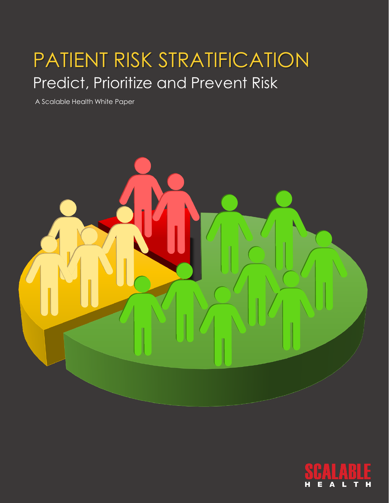# PATIENT RISK STRATIFICATION Predict, Prioritize and Prevent Risk

A Scalable Health White Paper



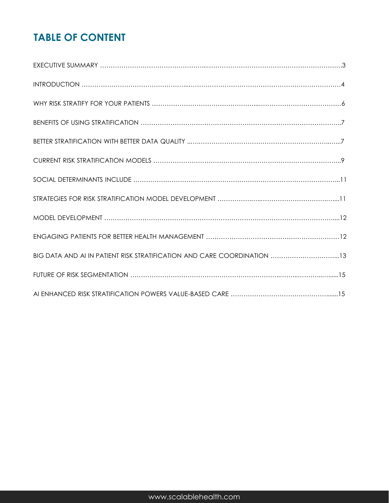# **TABLE OF CONTENT**

| BIG DATA AND AI IN PATIENT RISK STRATIFICATION AND CARE COORDINATION 13 |
|-------------------------------------------------------------------------|
|                                                                         |
|                                                                         |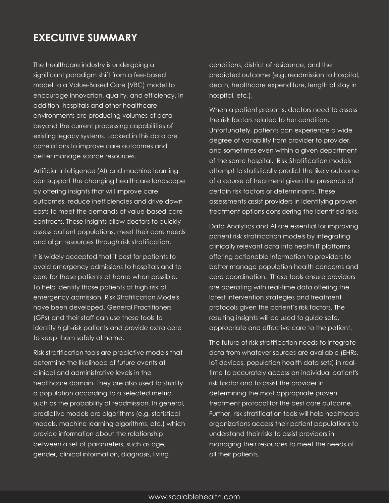### **EXECUTIVE SUMMARY**

The healthcare industry is undergoing a significant paradigm shift from a fee-based model to a Value-Based Care (VBC) model to encourage innovation, quality, and efficiency. In addition, hospitals and other healthcare environments are producing volumes of data beyond the current processing capabilities of existing legacy systems. Locked in this data are correlations to improve care outcomes and better manage scarce resources.

Artificial Intelligence (AI) and machine learning can support the changing healthcare landscape by offering insights that will improve care outcomes, reduce inefficiencies and drive down costs to meet the demands of value-based care contracts. These insights allow doctors to quickly assess patient populations, meet their care needs and align resources through risk stratification.

It is widely accepted that it best for patients to avoid emergency admissions to hospitals and to care for these patients at home when possible. To help identify those patients at high risk of emergency admission, Risk Stratification Models have been developed. General Practitioners (GPs) and their staff can use these tools to identify high-risk patients and provide extra care to keep them safely at home.

Risk stratification tools are predictive models that determine the likelihood of future events at clinical and administrative levels in the healthcare domain. They are also used to stratify a population according to a selected metric, such as the probability of readmission. In general, predictive models are algorithms (e.g. statistical models, machine learning algorithms, etc.) which provide information about the relationship between a set of parameters, such as age, gender, clinical information, diagnosis, living

conditions, district of residence, and the predicted outcome (e.g. readmission to hospital, death, healthcare expenditure, length of stay in hospital, etc.).

When a patient presents, doctors need to assess the risk factors related to her condition. Unfortunately, patients can experience a wide degree of variability from provider to provider, and sometimes even within a given department of the same hospital. Risk Stratification models attempt to statistically predict the likely outcome of a course of treatment given the presence of certain risk factors or determinants. These assessments assist providers in identifying proven treatment options considering the identified risks.

Data Analytics and AI are essential for improving patient risk stratification models by integrating clinically relevant data into health IT platforms offering actionable information to providers to better manage population health concerns and care coordination. These tools ensure providers are operating with real-time data offering the latest intervention strategies and treatment protocols given the patient´s risk factors. The resulting insights will be used to guide safe, appropriate and effective care to the patient.

The future of risk stratification needs to integrate data from whatever sources are available (EHRs, IoT devices, population health data sets) in realtime to accurately access an individual patient's risk factor and to assist the provider in determining the most appropriate proven treatment protocol for the best care outcome. Further, risk stratification tools will help healthcare organizations access their patient populations to understand their risks to assist providers in managing their resources to meet the needs of all their patients.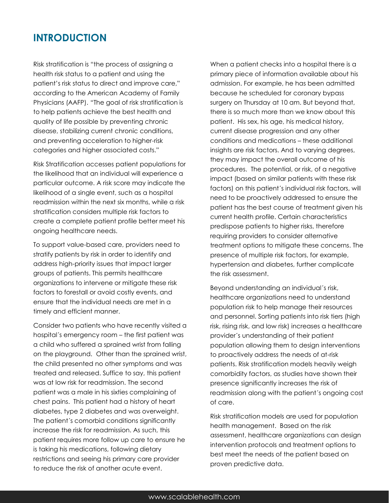#### **INTRODUCTION**

Risk stratification is "the process of assigning a health risk status to a patient and using the patient's risk status to direct and improve care," according to the American Academy of Family Physicians (AAFP). "The goal of risk stratification is to help patients achieve the best health and quality of life possible by preventing chronic disease, stabilizing current chronic conditions, and preventing acceleration to higher-risk categories and higher associated costs."

Risk Stratification accesses patient populations for the likelihood that an individual will experience a particular outcome. A risk score may indicate the likelihood of a single event, such as a hospital readmission within the next six months, while a risk stratification considers multiple risk factors to create a complete patient profile better meet his ongoing healthcare needs.

To support value-based care, providers need to stratify patients by risk in order to identify and address high-priority issues that impact larger groups of patients. This permits healthcare organizations to intervene or mitigate these risk factors to forestall or avoid costly events, and ensure that the individual needs are met in a timely and efficient manner.

Consider two patients who have recently visited a hospital´s emergency room – the first patient was a child who suffered a sprained wrist from falling on the playground. Other than the sprained wrist, the child presented no other symptoms and was treated and released. Suffice to say, this patient was at low risk for readmission. The second patient was a male in his sixties complaining of chest pains. This patient had a history of heart diabetes, type 2 diabetes and was overweight. The patient´s comorbid conditions significantly increase the risk for readmission. As such, this patient requires more follow up care to ensure he is taking his medications, following dietary restrictions and seeing his primary care provider to reduce the risk of another acute event.

When a patient checks into a hospital there is a primary piece of information available about his admission. For example, he has been admitted because he scheduled for coronary bypass surgery on Thursday at 10 am. But beyond that, there is so much more than we know about this patient. His sex, his age, his medical history, current disease progression and any other conditions and medications – these additional insights are risk factors. And to varying degrees, they may impact the overall outcome of his procedures. The potential, or risk, of a negative impact (based on similar patients with these risk factors) on this patient´s individual risk factors, will need to be proactively addressed to ensure the patient has the best course of treatment given his current health profile. Certain characteristics predispose patients to higher risks, therefore requiring providers to consider alternative treatment options to mitigate these concerns. The presence of multiple risk factors, for example, hypertension and diabetes, further complicate the risk assessment.

Beyond understanding an individual´s risk, healthcare organizations need to understand population risk to help manage their resources and personnel. Sorting patients into risk tiers (high risk, rising risk, and low risk) increases a healthcare provider´s understanding of their patient population allowing them to design interventions to proactively address the needs of at-risk patients. Risk stratification models heavily weigh comorbidity factors, as studies have shown their presence significantly increases the risk of readmission along with the patient´s ongoing cost of care.

Risk stratification models are used for population health management. Based on the risk assessment, healthcare organizations can design intervention protocols and treatment options to best meet the needs of the patient based on proven predictive data.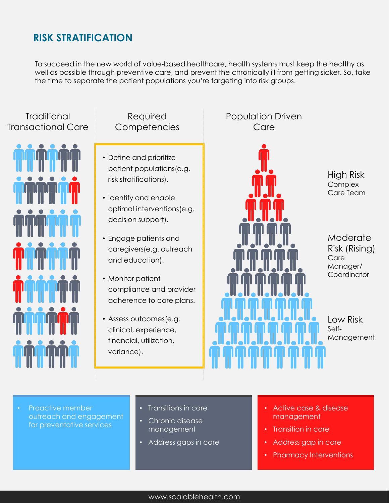## **RISK STRATIFICATION**

To succeed in the new world of value-based healthcare, health systems must keep the healthy as well as possible through preventive care, and prevent the chronically ill from getting sicker. So, take the time to separate the patient populations you're targeting into risk groups.

#### **Traditional** Transactional Care



#### Required **Competencies**

- Define and prioritize patient populations(e.g. risk stratifications).
- Identify and enable optimal interventions(e.g. decision support).
- Engage patients and caregivers(e.g. outreach and education).
- Monitor patient compliance and provider adherence to care plans.
- Assess outcomes(e.g. clinical, experience, financial, utilization, variance).

#### Population Driven Care



- Proactive member outreach and engagement for preventative services
- Transitions in care
- Chronic disease management
- Address gaps in care
- Active case & disease management
- Transition in care
- Address gap in care
- Pharmacy Interventions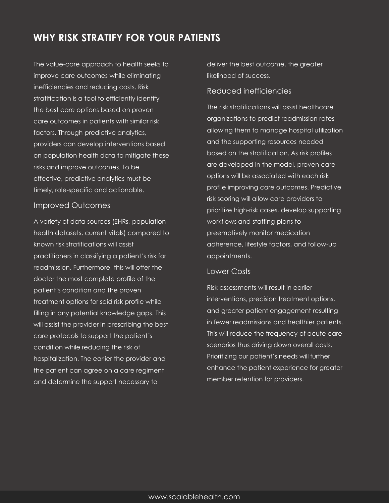### **WHY RISK STRATIFY FOR YOUR PATIENTS**

The value-care approach to health seeks to improve care outcomes while eliminating inefficiencies and reducing costs. Risk stratification is a tool to efficiently identify the best care options based on proven care outcomes in patients with similar risk factors. Through predictive analytics, providers can develop interventions based on population health data to mitigate these risks and improve outcomes. To be effective, predictive analytics must be timely, role-specific and actionable.

#### Improved Outcomes

A variety of data sources (EHRs, population health datasets, current vitals) compared to known risk stratifications will assist practitioners in classifying a patient´s risk for readmission. Furthermore, this will offer the doctor the most complete profile of the patient´s condition and the proven treatment options for said risk profile while filling in any potential knowledge gaps. This will assist the provider in prescribing the best care protocols to support the patient´s condition while reducing the risk of hospitalization. The earlier the provider and the patient can agree on a care regiment and determine the support necessary to

deliver the best outcome, the greater likelihood of success.

#### Reduced inefficiencies

The risk stratifications will assist healthcare organizations to predict readmission rates allowing them to manage hospital utilization and the supporting resources needed based on the stratification. As risk profiles are developed in the model, proven care options will be associated with each risk profile improving care outcomes. Predictive risk scoring will allow care providers to prioritize high-risk cases, develop supporting workflows and staffing plans to preemptively monitor medication adherence, lifestyle factors, and follow-up appointments.

#### Lower Costs

Risk assessments will result in earlier interventions, precision treatment options, and greater patient engagement resulting in fewer readmissions and healthier patients. This will reduce the frequency of acute care scenarios thus driving down overall costs. Prioritizing our patient´s needs will further enhance the patient experience for greater member retention for providers.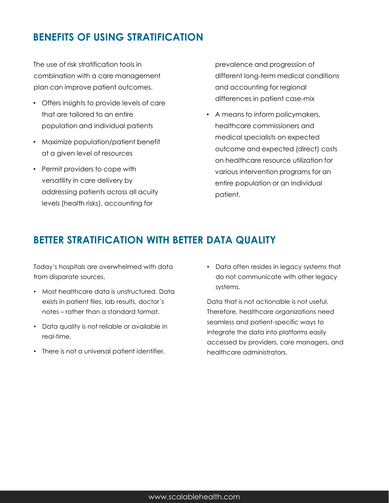# **BENEFITS OF USING STRATIFICATION**

The use of risk stratification tools in combination with a care management plan can improve patient outcomes.

- Offers insights to provide levels of care that are tailored to an entire population and individual patients
- Maximize population/patient benefit at a given level of resources
- Permit providers to cope with versatility in care delivery by addressing patients across all acuity levels (health risks), accounting for

prevalence and progression of different long-term medical conditions and accounting for regional differences in patient case-mix

• A means to inform policymakers, healthcare commissioners and medical specialists on expected outcome and expected (direct) costs on healthcare resource utilization for various intervention programs for an entire population or an individual patient.

### **BETTER STRATIFICATION WITH BETTER DATA QUALITY**

Today´s hospitals are overwhelmed with data from disparate sources.

- Most healthcare data is unstructured. Data exists in patient files, lab results, doctor´s notes – rather than a standard format.
- Data quality is not reliable or available in real-time.
- There is not a universal patient identifier.

• Data often resides in legacy systems that do not communicate with other legacy systems.

Data that is not actionable is not useful. Therefore, healthcare organizations need seamless and patient-specific ways to integrate the data into platforms easily accessed by providers, care managers, and healthcare administrators.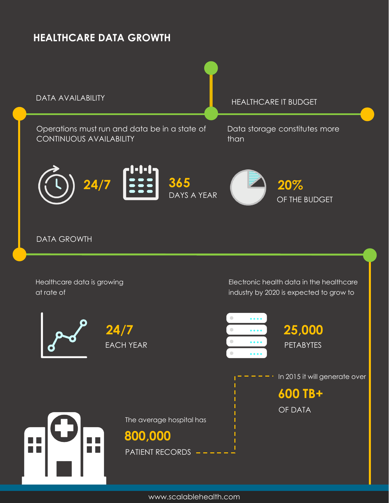# **HEALTHCARE DATA GROWTH**



www.scalablehealth.com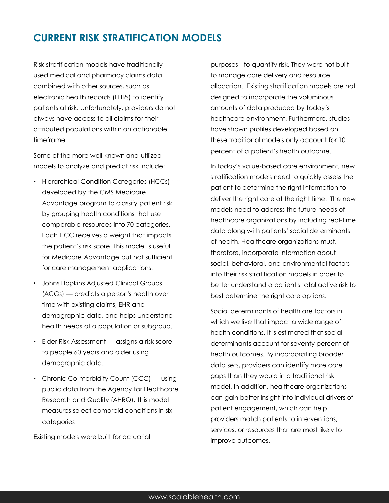### **CURRENT RISK STRATIFICATION MODELS**

Risk stratification models have traditionally used medical and pharmacy claims data combined with other sources, such as electronic health records (EHRs) to identify patients at risk. Unfortunately, providers do not always have access to all claims for their attributed populations within an actionable timeframe.

Some of the more well-known and utilized models to analyze and predict risk include:

- Hierarchical Condition Categories (HCCs) developed by the CMS Medicare Advantage program to classify patient risk by grouping health conditions that use comparable resources into 70 categories. Each HCC receives a weight that impacts the patient's risk score. This model is useful for Medicare Advantage but not sufficient for care management applications.
- Johns Hopkins Adjusted Clinical Groups (ACGs) — predicts a person's health over time with existing claims, EHR and demographic data, and helps understand health needs of a population or subgroup.
- Elder Risk Assessment assigns a risk score to people 60 years and older using demographic data.
- Chronic Co-morbidity Count (CCC) using public data from the Agency for Healthcare Research and Quality (AHRQ), this model measures select comorbid conditions in six categories

Existing models were built for actuarial

purposes - to quantify risk. They were not built to manage care delivery and resource allocation. Existing stratification models are not designed to incorporate the voluminous amounts of data produced by today´s healthcare environment. Furthermore, studies have shown profiles developed based on these traditional models only account for 10 percent of a patient´s health outcome.

In today´s value-based care environment, new stratification models need to quickly assess the patient to determine the right information to deliver the right care at the right time. The new models need to address the future needs of healthcare organizations by including real-time data along with patients' social determinants of health. Healthcare organizations must, therefore, incorporate information about social, behavioral, and environmental factors into their risk stratification models in order to better understand a patient's total active risk to best determine the right care options.

Social determinants of health are factors in which we live that impact a wide range of health conditions. It is estimated that social determinants account for seventy percent of health outcomes. By incorporating broader data sets, providers can identify more care gaps than they would in a traditional risk model. In addition, healthcare organizations can gain better insight into individual drivers of patient engagement, which can help providers match patients to interventions, services, or resources that are most likely to improve outcomes.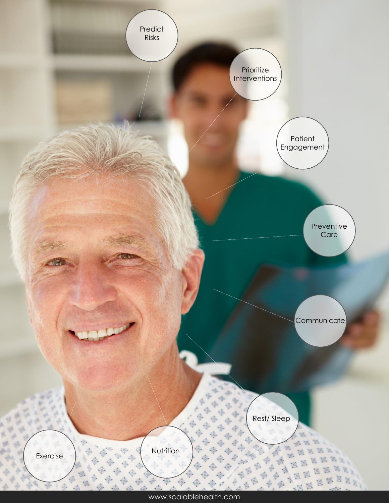![](_page_9_Figure_0.jpeg)

www.scalablehealth.com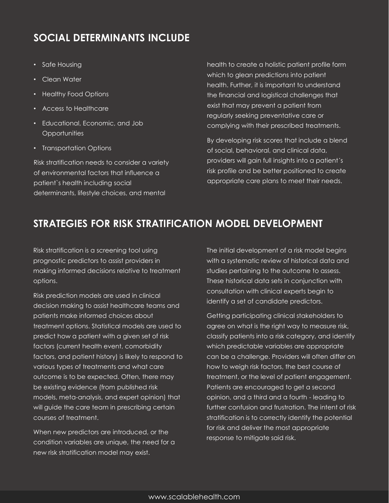# **SOCIAL DETERMINANTS INCLUDE**

- Safe Housing
- Clean Water
- Healthy Food Options
- Access to Healthcare
- Educational, Economic, and Job **Opportunities**
- Transportation Options

Risk stratification needs to consider a variety of environmental factors that influence a patient`s health including social determinants, lifestyle choices, and mental

health to create a holistic patient profile form which to glean predictions into patient health. Further, it is important to understand the financial and logistical challenges that exist that may prevent a patient from regularly seeking preventative care or complying with their prescribed treatments.

By developing risk scores that include a blend of social, behavioral, and clinical data, providers will gain full insights into a patient´s risk profile and be better positioned to create appropriate care plans to meet their needs.

### **STRATEGIES FOR RISK STRATIFICATION MODEL DEVELOPMENT**

Risk stratification is a screening tool using prognostic predictors to assist providers in making informed decisions relative to treatment options.

Risk prediction models are used in clinical decision making to assist healthcare teams and patients make informed choices about treatment options. Statistical models are used to predict how a patient with a given set of risk factors (current health event, comorbidity factors, and patient history) is likely to respond to various types of treatments and what care outcome is to be expected. Often, there may be existing evidence (from published risk models, meta-analysis, and expert opinion) that will guide the care team in prescribing certain courses of treatment.

When new predictors are introduced, or the condition variables are unique, the need for a new risk stratification model may exist.

The initial development of a risk model begins with a systematic review of historical data and studies pertaining to the outcome to assess. These historical data sets in conjunction with consultation with clinical experts begin to identify a set of candidate predictors.

Getting participating clinical stakeholders to agree on what is the right way to measure risk, classify patients into a risk category, and identify which predictable variables are appropriate can be a challenge. Providers will often differ on how to weigh risk factors, the best course of treatment, or the level of patient engagement. Patients are encouraged to get a second opinion, and a third and a fourth - leading to further confusion and frustration. The intent of risk stratification is to correctly identify the potential for risk and deliver the most appropriate response to mitigate said risk.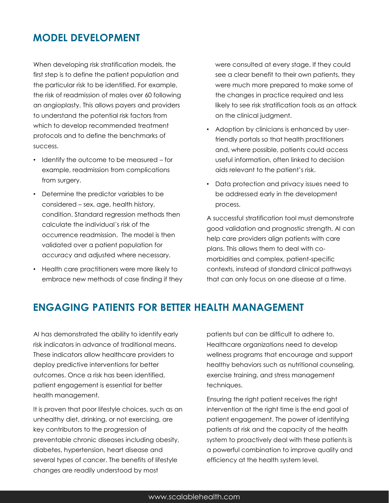### **MODEL DEVELOPMENT**

When developing risk stratification models, the first step is to define the patient population and the particular risk to be identified. For example, the risk of readmission of males over 60 following an angioplasty. This allows payers and providers to understand the potential risk factors from which to develop recommended treatment protocols and to define the benchmarks of success.

- Identify the outcome to be measured for example, readmission from complications from surgery.
- Determine the predictor variables to be considered – sex, age, health history, condition. Standard regression methods then calculate the individual´s risk of the occurrence readmission. The model is then validated over a patient population for accuracy and adjusted where necessary.
- Health care practitioners were more likely to embrace new methods of case finding if they

were consulted at every stage. If they could see a clear benefit to their own patients, they were much more prepared to make some of the changes in practice required and less likely to see risk stratification tools as an attack on the clinical judgment.

- Adoption by clinicians is enhanced by userfriendly portals so that health practitioners and, where possible, patients could access useful information, often linked to decision aids relevant to the patient's risk.
- Data protection and privacy issues need to be addressed early in the development process.

A successful stratification tool must demonstrate good validation and prognostic strength. AI can help care providers align patients with care plans. This allows them to deal with comorbidities and complex, patient-specific contexts, instead of standard clinical pathways that can only focus on one disease at a time.

### **ENGAGING PATIENTS FOR BETTER HEALTH MANAGEMENT**

AI has demonstrated the ability to identify early risk indicators in advance of traditional means. These indicators allow healthcare providers to deploy predictive interventions for better outcomes. Once a risk has been identified, patient engagement is essential for better health management.

It is proven that poor lifestyle choices, such as an unhealthy diet, drinking, or not exercising, are key contributors to the progression of preventable chronic diseases including obesity, diabetes, hypertension, heart disease and several types of cancer. The benefits of lifestyle changes are readily understood by most

patients but can be difficult to adhere to. Healthcare organizations need to develop wellness programs that encourage and support healthy behaviors such as nutritional counseling, exercise training, and stress management techniques.

Ensuring the right patient receives the right intervention at the right time is the end goal of patient engagement. The power of identifying patients at risk and the capacity of the health system to proactively deal with these patients is a powerful combination to improve quality and efficiency at the health system level.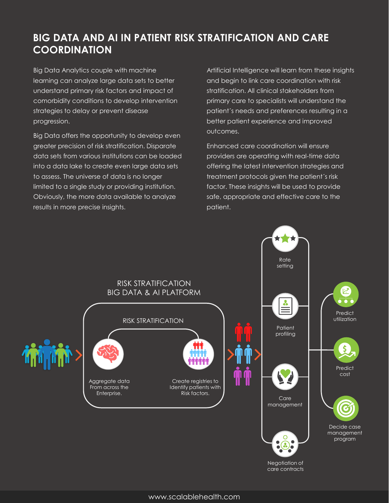# **BIG DATA AND AI IN PATIENT RISK STRATIFICATION AND CARE COORDINATION**

Big Data Analytics couple with machine learning can analyze large data sets to better understand primary risk factors and impact of comorbidity conditions to develop intervention strategies to delay or prevent disease progression.

Big Data offers the opportunity to develop even greater precision of risk stratification. Disparate data sets from various institutions can be loaded into a data lake to create even large data sets to assess. The universe of data is no longer limited to a single study or providing institution. Obviously, the more data available to analyze results in more precise insights.

Artificial Intelligence will learn from these insights and begin to link care coordination with risk stratification. All clinical stakeholders from primary care to specialists will understand the patient´s needs and preferences resulting in a better patient experience and improved outcomes.

Enhanced care coordination will ensure providers are operating with real-time data offering the latest intervention strategies and treatment protocols given the patient´s risk factor. These insights will be used to provide safe, appropriate and effective care to the patient.

![](_page_12_Figure_5.jpeg)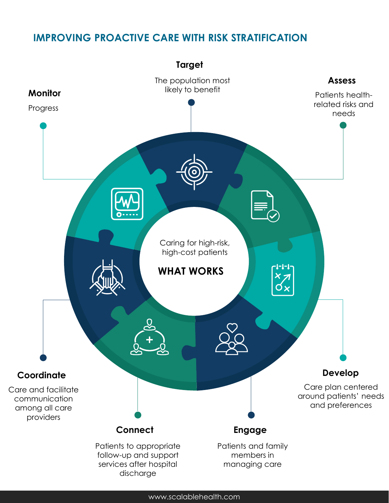## **IMPROVING PROACTIVE CARE WITH RISK STRATIFICATION**

![](_page_13_Figure_1.jpeg)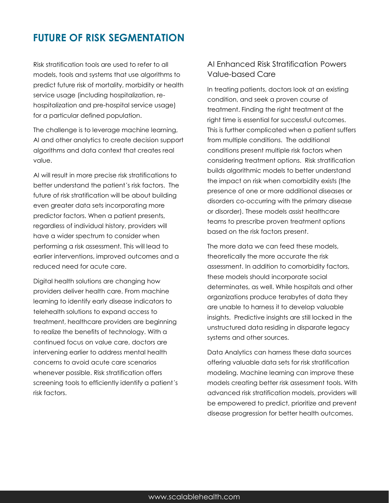### **FUTURE OF RISK SEGMENTATION**

Risk stratification tools are used to refer to all models, tools and systems that use algorithms to predict future risk of mortality, morbidity or health service usage (including hospitalization, rehospitalization and pre-hospital service usage) for a particular defined population.

The challenge is to leverage machine learning, AI and other analytics to create decision support algorithms and data context that creates real value.

AI will result in more precise risk stratifications to better understand the patient´s risk factors. The future of risk stratification will be about building even greater data sets incorporating more predictor factors. When a patient presents, regardless of individual history, providers will have a wider spectrum to consider when performing a risk assessment. This will lead to earlier interventions, improved outcomes and a reduced need for acute care.

Digital health solutions are changing how providers deliver health care. From machine learning to identify early disease indicators to telehealth solutions to expand access to treatment, healthcare providers are beginning to realize the benefits of technology. With a continued focus on value care, doctors are intervening earlier to address mental health concerns to avoid acute care scenarios whenever possible. Risk stratification offers screening tools to efficiently identify a patient´s risk factors.

#### AI Enhanced Risk Stratification Powers Value-based Care

In treating patients, doctors look at an existing condition, and seek a proven course of treatment. Finding the right treatment at the right time is essential for successful outcomes. This is further complicated when a patient suffers from multiple conditions. The additional conditions present multiple risk factors when considering treatment options. Risk stratification builds algorithmic models to better understand the impact on risk when comorbidity exists (the presence of one or more additional diseases or disorders co-occurring with the primary disease or disorder). These models assist healthcare teams to prescribe proven treatment options based on the risk factors present.

The more data we can feed these models, theoretically the more accurate the risk assessment. In addition to comorbidity factors, these models should incorporate social determinates, as well. While hospitals and other organizations produce terabytes of data they are unable to harness it to develop valuable insights. Predictive insights are still locked in the unstructured data residing in disparate legacy systems and other sources.

Data Analytics can harness these data sources offering valuable data sets for risk stratification modeling. Machine learning can improve these models creating better risk assessment tools. With advanced risk stratification models, providers will be empowered to predict, prioritize and prevent disease progression for better health outcomes.